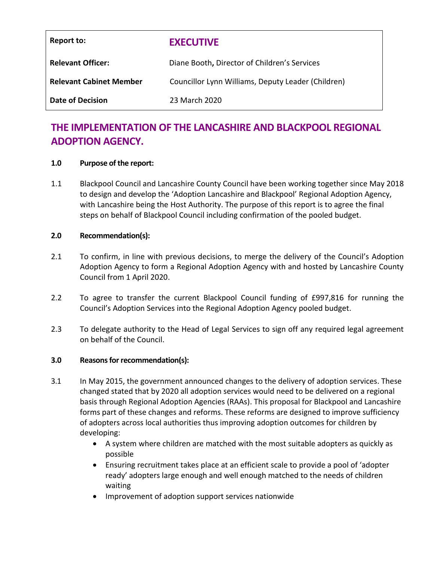| Report to:                     | <b>EXECUTIVE</b>                                   |
|--------------------------------|----------------------------------------------------|
| <b>Relevant Officer:</b>       | Diane Booth, Director of Children's Services       |
| <b>Relevant Cabinet Member</b> | Councillor Lynn Williams, Deputy Leader (Children) |
| <b>Date of Decision</b>        | 23 March 2020                                      |

# **THE IMPLEMENTATION OF THE LANCASHIRE AND BLACKPOOL REGIONAL ADOPTION AGENCY.**

#### **1.0 Purpose of the report:**

1.1 Blackpool Council and Lancashire County Council have been working together since May 2018 to design and develop the 'Adoption Lancashire and Blackpool' Regional Adoption Agency, with Lancashire being the Host Authority. The purpose of this report is to agree the final steps on behalf of Blackpool Council including confirmation of the pooled budget.

#### **2.0 Recommendation(s):**

- 2.1 To confirm, in line with previous decisions, to merge the delivery of the Council's Adoption Adoption Agency to form a Regional Adoption Agency with and hosted by Lancashire County Council from 1 April 2020.
- 2.2 To agree to transfer the current Blackpool Council funding of £997,816 for running the Council's Adoption Services into the Regional Adoption Agency pooled budget.
- 2.3 To delegate authority to the Head of Legal Services to sign off any required legal agreement on behalf of the Council.

#### **3.0 Reasons for recommendation(s):**

- 3.1 In May 2015, the government announced changes to the delivery of adoption services. These changed stated that by 2020 all adoption services would need to be delivered on a regional basis through Regional Adoption Agencies (RAAs). This proposal for Blackpool and Lancashire forms part of these changes and reforms. These reforms are designed to improve sufficiency of adopters across local authorities thus improving adoption outcomes for children by developing:
	- A system where children are matched with the most suitable adopters as quickly as possible
	- Ensuring recruitment takes place at an efficient scale to provide a pool of 'adopter ready' adopters large enough and well enough matched to the needs of children waiting
	- Improvement of adoption support services nationwide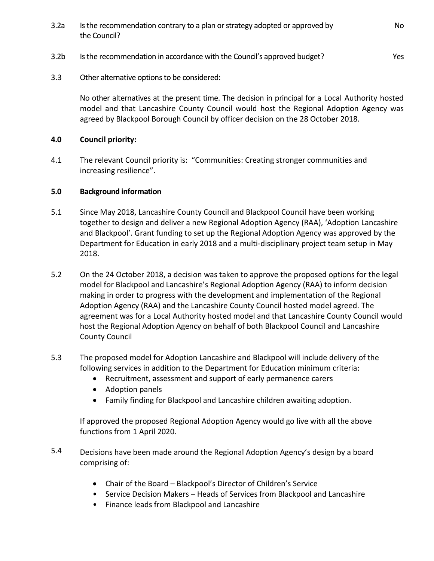- 3.2a Is the recommendation contrary to a plan or strategy adopted or approved by the Council?
- 3.2b Is the recommendation in accordance with the Council's approved budget?
- 3.3 Other alternative options to be considered:

No other alternatives at the present time. The decision in principal for a Local Authority hosted model and that Lancashire County Council would host the Regional Adoption Agency was agreed by Blackpool Borough Council by officer decision on the 28 October 2018.

#### **4.0 Council priority:**

4.1 The relevant Council priority is: "Communities: Creating stronger communities and increasing resilience".

#### **5.0 Background information**

- 5.1 Since May 2018, Lancashire County Council and Blackpool Council have been working together to design and deliver a new Regional Adoption Agency (RAA), 'Adoption Lancashire and Blackpool'. Grant funding to set up the Regional Adoption Agency was approved by the Department for Education in early 2018 and a multi-disciplinary project team setup in May 2018.
- 5.2 On the 24 October 2018, a decision was taken to approve the proposed options for the legal model for Blackpool and Lancashire's Regional Adoption Agency (RAA) to inform decision making in order to progress with the development and implementation of the Regional Adoption Agency (RAA) and the Lancashire County Council hosted model agreed. The agreement was for a Local Authority hosted model and that Lancashire County Council would host the Regional Adoption Agency on behalf of both Blackpool Council and Lancashire County Council
- 5.3 The proposed model for Adoption Lancashire and Blackpool will include delivery of the following services in addition to the Department for Education minimum criteria:
	- Recruitment, assessment and support of early permanence carers
	- Adoption panels
	- Family finding for Blackpool and Lancashire children awaiting adoption.

If approved the proposed Regional Adoption Agency would go live with all the above functions from 1 April 2020.

- 5.4 Decisions have been made around the Regional Adoption Agency's design by a board comprising of:
	- Chair of the Board Blackpool's Director of Children's Service
	- Service Decision Makers Heads of Services from Blackpool and Lancashire
	- Finance leads from Blackpool and Lancashire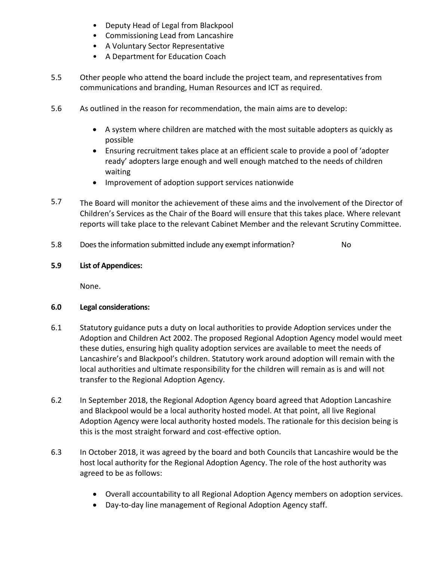- Deputy Head of Legal from Blackpool
- Commissioning Lead from Lancashire
- A Voluntary Sector Representative
- A Department for Education Coach
- 5.5 Other people who attend the board include the project team, and representatives from communications and branding, Human Resources and ICT as required.
- 5.6 As outlined in the reason for recommendation, the main aims are to develop:
	- A system where children are matched with the most suitable adopters as quickly as possible
	- Ensuring recruitment takes place at an efficient scale to provide a pool of 'adopter ready' adopters large enough and well enough matched to the needs of children waiting
	- Improvement of adoption support services nationwide
- 5.7 The Board will monitor the achievement of these aims and the involvement of the Director of Children's Services as the Chair of the Board will ensure that this takes place. Where relevant reports will take place to the relevant Cabinet Member and the relevant Scrutiny Committee.
- 5.8 Does the information submitted include any exempt information? No

#### **5.9 List of Appendices:**

None.

#### **6.0 Legal considerations:**

- 6.1 Statutory guidance puts a duty on local authorities to provide Adoption services under the Adoption and Children Act 2002. The proposed Regional Adoption Agency model would meet these duties, ensuring high quality adoption services are available to meet the needs of Lancashire's and Blackpool's children. Statutory work around adoption will remain with the local authorities and ultimate responsibility for the children will remain as is and will not transfer to the Regional Adoption Agency.
- 6.2 In September 2018, the Regional Adoption Agency board agreed that Adoption Lancashire and Blackpool would be a local authority hosted model. At that point, all live Regional Adoption Agency were local authority hosted models. The rationale for this decision being is this is the most straight forward and cost-effective option.
- 6.3 In October 2018, it was agreed by the board and both Councils that Lancashire would be the host local authority for the Regional Adoption Agency. The role of the host authority was agreed to be as follows:
	- Overall accountability to all Regional Adoption Agency members on adoption services.
	- Day-to-day line management of Regional Adoption Agency staff.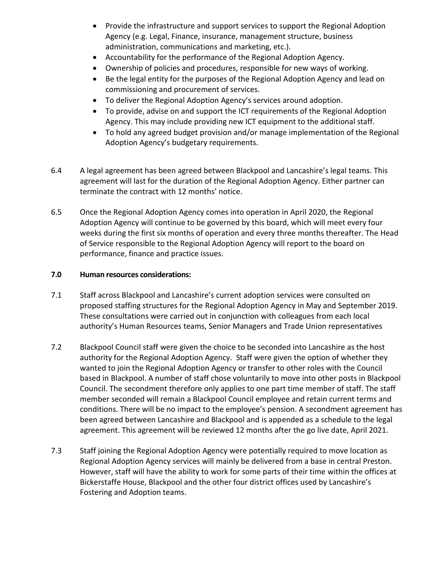- Provide the infrastructure and support services to support the Regional Adoption Agency (e.g. Legal, Finance, insurance, management structure, business administration, communications and marketing, etc.).
- Accountability for the performance of the Regional Adoption Agency.
- Ownership of policies and procedures, responsible for new ways of working.
- Be the legal entity for the purposes of the Regional Adoption Agency and lead on commissioning and procurement of services.
- To deliver the Regional Adoption Agency's services around adoption.
- To provide, advise on and support the ICT requirements of the Regional Adoption Agency. This may include providing new ICT equipment to the additional staff.
- To hold any agreed budget provision and/or manage implementation of the Regional Adoption Agency's budgetary requirements.
- 6.4 A legal agreement has been agreed between Blackpool and Lancashire's legal teams. This agreement will last for the duration of the Regional Adoption Agency. Either partner can terminate the contract with 12 months' notice.
- 6.5 Once the Regional Adoption Agency comes into operation in April 2020, the Regional Adoption Agency will continue to be governed by this board, which will meet every four weeks during the first six months of operation and every three months thereafter. The Head of Service responsible to the Regional Adoption Agency will report to the board on performance, finance and practice issues.

#### **7.0 Human resources considerations:**

- 7.1 Staff across Blackpool and Lancashire's current adoption services were consulted on proposed staffing structures for the Regional Adoption Agency in May and September 2019. These consultations were carried out in conjunction with colleagues from each local authority's Human Resources teams, Senior Managers and Trade Union representatives
- 7.2 Blackpool Council staff were given the choice to be seconded into Lancashire as the host authority for the Regional Adoption Agency. Staff were given the option of whether they wanted to join the Regional Adoption Agency or transfer to other roles with the Council based in Blackpool. A number of staff chose voluntarily to move into other posts in Blackpool Council. The secondment therefore only applies to one part time member of staff. The staff member seconded will remain a Blackpool Council employee and retain current terms and conditions. There will be no impact to the employee's pension. A secondment agreement has been agreed between Lancashire and Blackpool and is appended as a schedule to the legal agreement. This agreement will be reviewed 12 months after the go live date, April 2021.
- 7.3 Staff joining the Regional Adoption Agency were potentially required to move location as Regional Adoption Agency services will mainly be delivered from a base in central Preston. However, staff will have the ability to work for some parts of their time within the offices at Bickerstaffe House, Blackpool and the other four district offices used by Lancashire's Fostering and Adoption teams.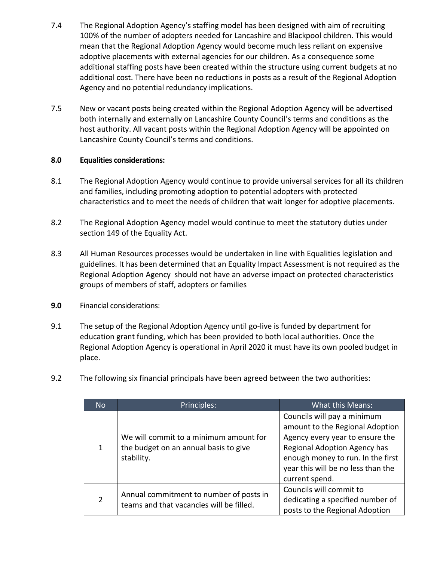- 7.4 The Regional Adoption Agency's staffing model has been designed with aim of recruiting 100% of the number of adopters needed for Lancashire and Blackpool children. This would mean that the Regional Adoption Agency would become much less reliant on expensive adoptive placements with external agencies for our children. As a consequence some additional staffing posts have been created within the structure using current budgets at no additional cost. There have been no reductions in posts as a result of the Regional Adoption Agency and no potential redundancy implications.
- 7.5 New or vacant posts being created within the Regional Adoption Agency will be advertised both internally and externally on Lancashire County Council's terms and conditions as the host authority. All vacant posts within the Regional Adoption Agency will be appointed on Lancashire County Council's terms and conditions.

#### **8.0 Equalities considerations:**

- 8.1 The Regional Adoption Agency would continue to provide universal services for all its children and families, including promoting adoption to potential adopters with protected characteristics and to meet the needs of children that wait longer for adoptive placements.
- 8.2 The Regional Adoption Agency model would continue to meet the statutory duties under section 149 of the Equality Act.
- 8.3 All Human Resources processes would be undertaken in line with Equalities legislation and guidelines. It has been determined that an Equality Impact Assessment is not required as the Regional Adoption Agency should not have an adverse impact on protected characteristics groups of members of staff, adopters or families
- **9.0** Financial considerations:
- 9.1 The setup of the Regional Adoption Agency until go-live is funded by department for education grant funding, which has been provided to both local authorities. Once the Regional Adoption Agency is operational in April 2020 it must have its own pooled budget in place.
- 9.2 The following six financial principals have been agreed between the two authorities:

| <b>No</b> | Principles:                                                                                   | What this Means:                                                                                                                                                                                                               |
|-----------|-----------------------------------------------------------------------------------------------|--------------------------------------------------------------------------------------------------------------------------------------------------------------------------------------------------------------------------------|
| 1         | We will commit to a minimum amount for<br>the budget on an annual basis to give<br>stability. | Councils will pay a minimum<br>amount to the Regional Adoption<br>Agency every year to ensure the<br>Regional Adoption Agency has<br>enough money to run. In the first<br>year this will be no less than the<br>current spend. |
| 2         | Annual commitment to number of posts in<br>teams and that vacancies will be filled.           | Councils will commit to<br>dedicating a specified number of<br>posts to the Regional Adoption                                                                                                                                  |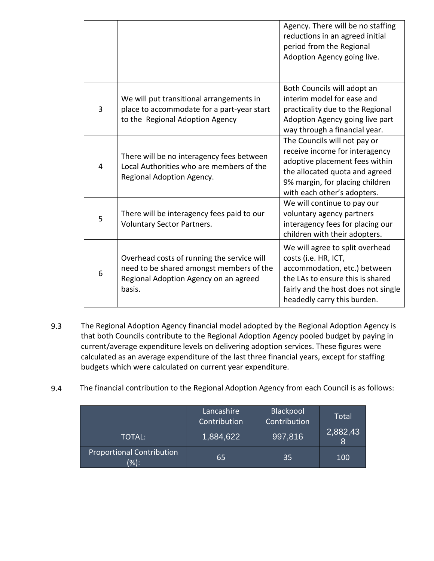|   |                                                                                                                                           | Agency. There will be no staffing<br>reductions in an agreed initial<br>period from the Regional<br>Adoption Agency going live.                                                                      |
|---|-------------------------------------------------------------------------------------------------------------------------------------------|------------------------------------------------------------------------------------------------------------------------------------------------------------------------------------------------------|
| 3 | We will put transitional arrangements in<br>place to accommodate for a part-year start<br>to the Regional Adoption Agency                 | Both Councils will adopt an<br>interim model for ease and<br>practicality due to the Regional<br>Adoption Agency going live part<br>way through a financial year.                                    |
| 4 | There will be no interagency fees between<br>Local Authorities who are members of the<br>Regional Adoption Agency.                        | The Councils will not pay or<br>receive income for interagency<br>adoptive placement fees within<br>the allocated quota and agreed<br>9% margin, for placing children<br>with each other's adopters. |
| 5 | There will be interagency fees paid to our<br><b>Voluntary Sector Partners.</b>                                                           | We will continue to pay our<br>voluntary agency partners<br>interagency fees for placing our<br>children with their adopters.                                                                        |
| 6 | Overhead costs of running the service will<br>need to be shared amongst members of the<br>Regional Adoption Agency on an agreed<br>basis. | We will agree to split overhead<br>costs (i.e. HR, ICT,<br>accommodation, etc.) between<br>the LAs to ensure this is shared<br>fairly and the host does not single<br>headedly carry this burden.    |

- 9.3 The Regional Adoption Agency financial model adopted by the Regional Adoption Agency is that both Councils contribute to the Regional Adoption Agency pooled budget by paying in current/average expenditure levels on delivering adoption services. These figures were calculated as an average expenditure of the last three financial years, except for staffing budgets which were calculated on current year expenditure.
- 9.4 The financial contribution to the Regional Adoption Agency from each Council is as follows:

|                                             | Lancashire<br>Contribution | Blackpool<br>Contribution | <b>Total</b>  |
|---------------------------------------------|----------------------------|---------------------------|---------------|
| TOTAL:                                      | 1,884,622                  | 997,816                   | 2,882,43<br>8 |
| <b>Proportional Contribution</b><br>$(\%):$ | 65                         | 35                        | 100           |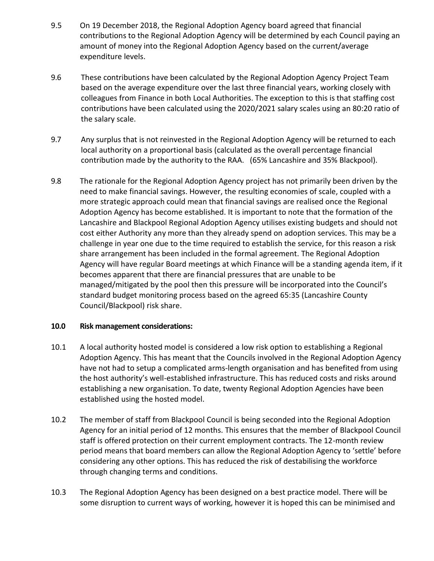- 9.5 On 19 December 2018, the Regional Adoption Agency board agreed that financial contributions to the Regional Adoption Agency will be determined by each Council paying an amount of money into the Regional Adoption Agency based on the current/average expenditure levels.
- 9.6 These contributions have been calculated by the Regional Adoption Agency Project Team based on the average expenditure over the last three financial years, working closely with colleagues from Finance in both Local Authorities. The exception to this is that staffing cost contributions have been calculated using the 2020/2021 salary scales using an 80:20 ratio of the salary scale.
- 9.7 Any surplus that is not reinvested in the Regional Adoption Agency will be returned to each local authority on a proportional basis (calculated as the overall percentage financial contribution made by the authority to the RAA. (65% Lancashire and 35% Blackpool).
- 9.8 The rationale for the Regional Adoption Agency project has not primarily been driven by the need to make financial savings. However, the resulting economies of scale, coupled with a more strategic approach could mean that financial savings are realised once the Regional Adoption Agency has become established. It is important to note that the formation of the Lancashire and Blackpool Regional Adoption Agency utilises existing budgets and should not cost either Authority any more than they already spend on adoption services. This may be a challenge in year one due to the time required to establish the service, for this reason a risk share arrangement has been included in the formal agreement. The Regional Adoption Agency will have regular Board meetings at which Finance will be a standing agenda item, if it becomes apparent that there are financial pressures that are unable to be managed/mitigated by the pool then this pressure will be incorporated into the Council's standard budget monitoring process based on the agreed 65:35 (Lancashire County Council/Blackpool) risk share.

#### **10.0 f Risk management considerations:**

- 10.1 A local authority hosted model is considered a low risk option to establishing a Regional Adoption Agency. This has meant that the Councils involved in the Regional Adoption Agency have not had to setup a complicated arms-length organisation and has benefited from using the host authority's well-established infrastructure. This has reduced costs and risks around establishing a new organisation. To date, twenty Regional Adoption Agencies have been established using the hosted model.
- 10.2 The member of staff from Blackpool Council is being seconded into the Regional Adoption Agency for an initial period of 12 months. This ensures that the member of Blackpool Council staff is offered protection on their current employment contracts. The 12-month review period means that board members can allow the Regional Adoption Agency to 'settle' before considering any other options. This has reduced the risk of destabilising the workforce through changing terms and conditions.
- 10.3 The Regional Adoption Agency has been designed on a best practice model. There will be some disruption to current ways of working, however it is hoped this can be minimised and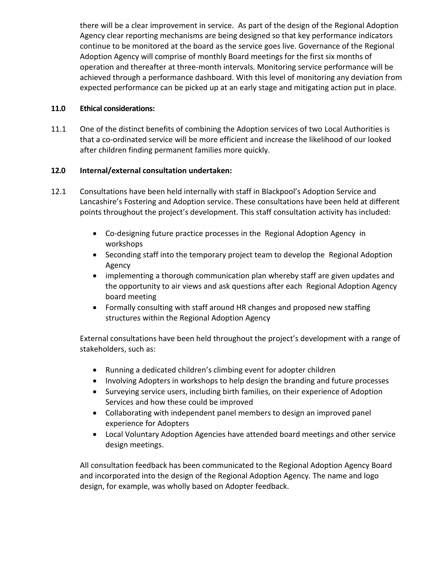there will be a clear improvement in service. As part of the design of the Regional Adoption Agency clear reporting mechanisms are being designed so that key performance indicators continue to be monitored at the board as the service goes live. Governance of the Regional Adoption Agency will comprise of monthly Board meetings for the first six months of operation and thereafter at three-month intervals. Monitoring service performance will be achieved through a performance dashboard. With this level of monitoring any deviation from expected performance can be picked up at an early stage and mitigating action put in place.

#### **11.0 Ethical considerations:**

11.1 One of the distinct benefits of combining the Adoption services of two Local Authorities is that a co-ordinated service will be more efficient and increase the likelihood of our looked after children finding permanent families more quickly.

#### **12.0 Internal/external consultation undertaken:**

- 12.1 Consultations have been held internally with staff in Blackpool's Adoption Service and Lancashire's Fostering and Adoption service. These consultations have been held at different points throughout the project's development. This staff consultation activity has included:
	- Co-designing future practice processes in the Regional Adoption Agency in workshops
	- Seconding staff into the temporary project team to develop the Regional Adoption Agency
	- implementing a thorough communication plan whereby staff are given updates and the opportunity to air views and ask questions after each Regional Adoption Agency board meeting
	- Formally consulting with staff around HR changes and proposed new staffing structures within the Regional Adoption Agency

External consultations have been held throughout the project's development with a range of stakeholders, such as:

- Running a dedicated children's climbing event for adopter children
- Involving Adopters in workshops to help design the branding and future processes
- Surveying service users, including birth families, on their experience of Adoption Services and how these could be improved
- Collaborating with independent panel members to design an improved panel experience for Adopters
- Local Voluntary Adoption Agencies have attended board meetings and other service design meetings.

All consultation feedback has been communicated to the Regional Adoption Agency Board and incorporated into the design of the Regional Adoption Agency. The name and logo design, for example, was wholly based on Adopter feedback.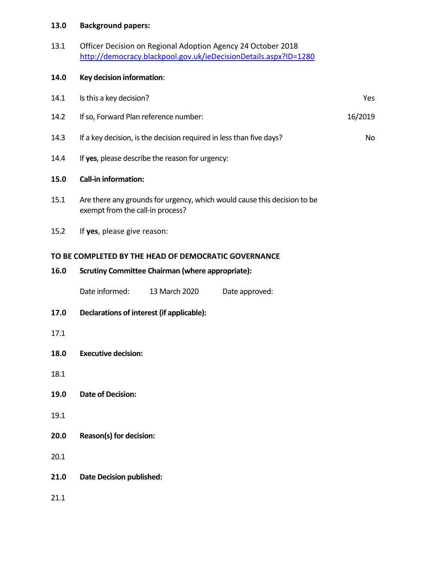## **13.0 Background papers:**

| 13.1 | Officer Decision on Regional Adoption Agency 24 October 2018     |
|------|------------------------------------------------------------------|
|      | http://democracy.blackpool.gov.uk/ieDecisionDetails.aspx?ID=1280 |

### **14.0 0Key decision information**:

| 14.1 | Is this a key decision?                                                                                      |               |                | Yes |
|------|--------------------------------------------------------------------------------------------------------------|---------------|----------------|-----|
| 14.2 | If so, Forward Plan reference number:                                                                        |               | 16/2019        |     |
| 14.3 | If a key decision, is the decision required in less than five days?                                          |               | No             |     |
| 14.4 | If yes, please describe the reason for urgency:                                                              |               |                |     |
| 15.0 | <b>Call-in information:</b>                                                                                  |               |                |     |
| 15.1 | Are there any grounds for urgency, which would cause this decision to be<br>exempt from the call-in process? |               |                |     |
| 15.2 | If yes, please give reason:                                                                                  |               |                |     |
|      | TO BE COMPLETED BY THE HEAD OF DEMOCRATIC GOVERNANCE                                                         |               |                |     |
| 16.0 | <b>Scrutiny Committee Chairman (where appropriate):</b>                                                      |               |                |     |
|      | Date informed:                                                                                               | 13 March 2020 | Date approved: |     |
| 17.0 | Declarations of interest (if applicable):                                                                    |               |                |     |
| 17.1 |                                                                                                              |               |                |     |
| 18.0 | <b>Executive decision:</b>                                                                                   |               |                |     |
| 18.1 |                                                                                                              |               |                |     |
| 19.0 | <b>Date of Decision:</b>                                                                                     |               |                |     |
| 19.1 |                                                                                                              |               |                |     |
| 20.0 | Reason(s) for decision:                                                                                      |               |                |     |
| 20.1 |                                                                                                              |               |                |     |
| 21.0 | <b>Date Decision published:</b>                                                                              |               |                |     |
| 21.1 |                                                                                                              |               |                |     |